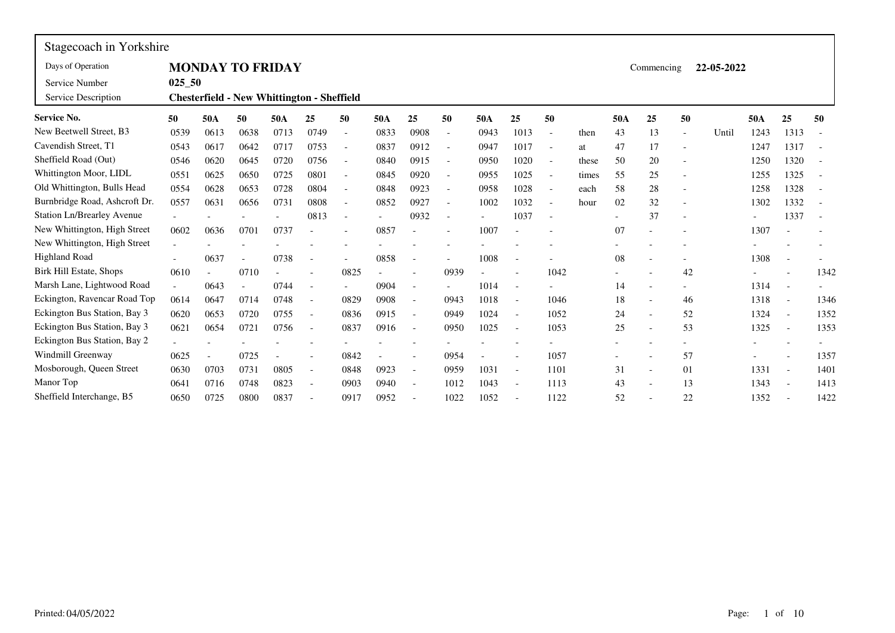| Stagecoach in Yorkshire           |                          |                          |                                                   |      |                          |      |                          |                          |                          |                          |                          |                          |       |                |                          |    |            |                          |                          |                          |
|-----------------------------------|--------------------------|--------------------------|---------------------------------------------------|------|--------------------------|------|--------------------------|--------------------------|--------------------------|--------------------------|--------------------------|--------------------------|-------|----------------|--------------------------|----|------------|--------------------------|--------------------------|--------------------------|
| Days of Operation                 |                          |                          | <b>MONDAY TO FRIDAY</b>                           |      |                          |      |                          |                          |                          |                          |                          |                          |       |                | Commencing               |    | 22-05-2022 |                          |                          |                          |
| Service Number                    | $025 - 50$               |                          |                                                   |      |                          |      |                          |                          |                          |                          |                          |                          |       |                |                          |    |            |                          |                          |                          |
| Service Description               |                          |                          | <b>Chesterfield - New Whittington - Sheffield</b> |      |                          |      |                          |                          |                          |                          |                          |                          |       |                |                          |    |            |                          |                          |                          |
| <b>Service No.</b>                | 50                       | 50A                      | 50                                                | 50A  | 25                       | 50   | 50A                      | 25                       | 50                       | 50A                      | 25                       | 50                       |       | 50A            | 25                       | 50 |            | 50A                      | 25                       | 50                       |
| New Beetwell Street, B3           | 0539                     | 0613                     | 0638                                              | 0713 | 0749                     |      | 0833                     | 0908                     | $\overline{\phantom{a}}$ | 0943                     | 1013                     | $\overline{\phantom{a}}$ | then  | 43             | 13                       |    | Until      | 1243                     | 1313                     | $\sim$                   |
| Cavendish Street, T1              | 0543                     | 0617                     | 0642                                              | 0717 | 0753                     |      | 0837                     | 0912                     | $\overline{\phantom{a}}$ | 0947                     | 1017                     |                          | at    | 47             | 17                       |    |            | 1247                     | 1317                     |                          |
| Sheffield Road (Out)              | 0546                     | 0620                     | 0645                                              | 0720 | 0756                     |      | 0840                     | 0915                     | $\overline{\phantom{a}}$ | 0950                     | 1020                     | $\overline{\phantom{a}}$ | these | 50             | 20                       |    |            | 1250                     | 1320                     |                          |
| Whittington Moor, LIDL            | 0551                     | 0625                     | 0650                                              | 0725 | 0801                     |      | 0845                     | 0920                     | $\overline{\phantom{a}}$ | 0955                     | 1025                     | $\overline{\phantom{a}}$ | times | 55             | 25                       |    |            | 1255                     | 1325                     |                          |
| Old Whittington, Bulls Head       | 0554                     | 0628                     | 0653                                              | 0728 | 0804                     |      | 0848                     | 0923                     | $\overline{\phantom{a}}$ | 0958                     | 1028                     | $\overline{\phantom{a}}$ | each  | 58             | 28                       |    |            | 1258                     | 1328                     |                          |
| Burnbridge Road, Ashcroft Dr.     | 0557                     | 0631                     | 0656                                              | 0731 | 0808                     |      | 0852                     | 0927                     | $\overline{\phantom{a}}$ | 1002                     | 1032                     | $\overline{\phantom{a}}$ | hour  | 02             | 32                       |    |            | 1302                     | 1332                     |                          |
| <b>Station Ln/Brearley Avenue</b> |                          |                          |                                                   |      | 0813                     |      | $\overline{\phantom{a}}$ | 0932                     | $\overline{\phantom{a}}$ | $\overline{\phantom{a}}$ | 1037                     | $\overline{\phantom{a}}$ |       | $\overline{a}$ | 37                       |    |            | $\overline{\phantom{a}}$ | 1337                     | $\overline{\phantom{a}}$ |
| New Whittington, High Street      | 0602                     | 0636                     | 0701                                              | 0737 |                          |      | 0857                     |                          |                          | 1007                     |                          |                          |       | 07             |                          |    |            | 1307                     |                          |                          |
| New Whittington, High Street      |                          |                          |                                                   |      |                          |      |                          |                          |                          |                          |                          |                          |       |                |                          |    |            |                          |                          |                          |
| <b>Highland Road</b>              |                          | 0637                     | $\overline{a}$                                    | 0738 | $\overline{\phantom{a}}$ |      | 0858                     | $\overline{a}$           | $\overline{\phantom{a}}$ | 1008                     |                          |                          |       | 08             |                          |    |            | 1308                     | $\overline{\phantom{a}}$ |                          |
| Birk Hill Estate, Shops           | 0610                     |                          | 0710                                              |      |                          | 0825 |                          |                          | 0939                     |                          |                          | 1042                     |       |                |                          | 42 |            |                          |                          | 1342                     |
| Marsh Lane, Lightwood Road        | $\overline{\phantom{a}}$ | 0643                     | $\overline{a}$                                    | 0744 |                          |      | 0904                     | $\overline{\phantom{a}}$ | $\overline{\phantom{a}}$ | 1014                     |                          |                          |       | 14             |                          |    |            | 1314                     | $\overline{\phantom{a}}$ |                          |
| Eckington, Ravencar Road Top      | 0614                     | 0647                     | 0714                                              | 0748 | $\blacksquare$           | 0829 | 0908                     | $\overline{\phantom{a}}$ | 0943                     | 1018                     |                          | 1046                     |       | 18             | $\overline{\phantom{a}}$ | 46 |            | 1318                     | $\overline{\phantom{a}}$ | 1346                     |
| Eckington Bus Station, Bay 3      | 0620                     | 0653                     | 0720                                              | 0755 | $\bar{a}$                | 0836 | 0915                     | $\sim$                   | 0949                     | 1024                     |                          | 1052                     |       | 24             |                          | 52 |            | 1324                     | $\overline{\phantom{a}}$ | 1352                     |
| Eckington Bus Station, Bay 3      | 0621                     | 0654                     | 0721                                              | 0756 | $\blacksquare$           | 0837 | 0916                     | $\overline{\phantom{a}}$ | 0950                     | 1025                     |                          | 1053                     |       | 25             |                          | 53 |            | 1325                     | $\overline{a}$           | 1353                     |
| Eckington Bus Station, Bay 2      |                          |                          |                                                   |      |                          |      |                          |                          |                          |                          |                          |                          |       |                |                          |    |            |                          |                          |                          |
| Windmill Greenway                 | 0625                     | $\overline{\phantom{a}}$ | 0725                                              |      |                          | 0842 |                          | $\qquad \qquad -$        | 0954                     |                          |                          | 1057                     |       |                |                          | 57 |            |                          | $\overline{\phantom{a}}$ | 1357                     |
| Mosborough, Queen Street          | 0630                     | 0703                     | 0731                                              | 0805 | $\overline{\phantom{a}}$ | 0848 | 0923                     | $\overline{\phantom{a}}$ | 0959                     | 1031                     | $\overline{\phantom{a}}$ | 1101                     |       | 31             | $\overline{\phantom{a}}$ | 01 |            | 1331                     | $\overline{\phantom{a}}$ | 1401                     |
| Manor Top                         | 0641                     | 0716                     | 0748                                              | 0823 |                          | 0903 | 0940                     | $\overline{a}$           | 1012                     | 1043                     |                          | 1113                     |       | 43             |                          | 13 |            | 1343                     | $\overline{\phantom{a}}$ | 1413                     |
| Sheffield Interchange, B5         | 0650                     | 0725                     | 0800                                              | 0837 |                          | 0917 | 0952                     |                          | 1022                     | 1052                     |                          | 1122                     |       | 52             |                          | 22 |            | 1352                     |                          | 1422                     |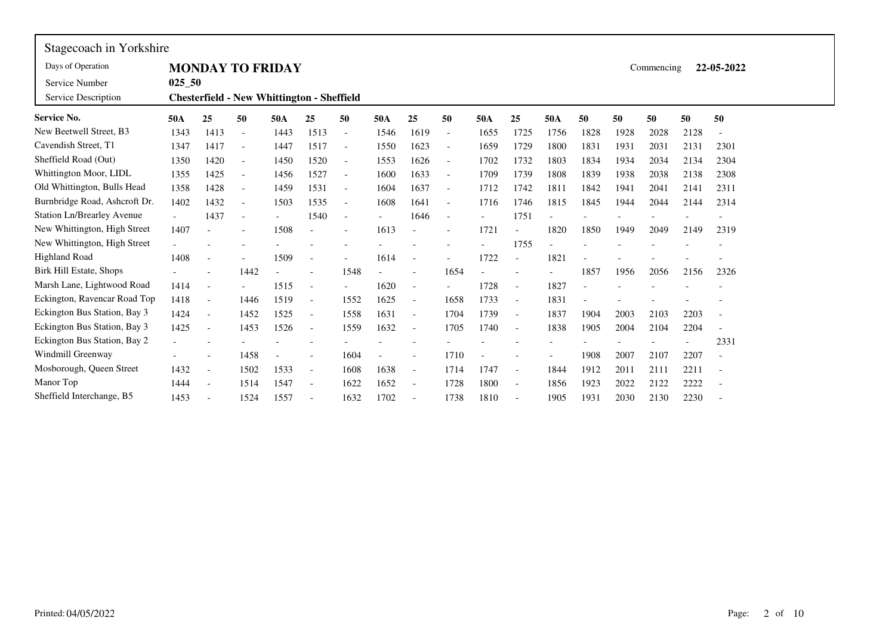| Stagecoach in Yorkshire           |        |                          |                          |                                                   |                          |                              |      |                          |                          |      |                          |                   |      |      |            |      |                          |
|-----------------------------------|--------|--------------------------|--------------------------|---------------------------------------------------|--------------------------|------------------------------|------|--------------------------|--------------------------|------|--------------------------|-------------------|------|------|------------|------|--------------------------|
| Days of Operation                 |        |                          |                          | <b>MONDAY TO FRIDAY</b>                           |                          |                              |      |                          |                          |      |                          |                   |      |      | Commencing |      | 22-05-2022               |
| Service Number                    | 025 50 |                          |                          |                                                   |                          |                              |      |                          |                          |      |                          |                   |      |      |            |      |                          |
| Service Description               |        |                          |                          | <b>Chesterfield - New Whittington - Sheffield</b> |                          |                              |      |                          |                          |      |                          |                   |      |      |            |      |                          |
| <b>Service No.</b>                | 50A    | 25                       | 50                       | 50A                                               | 25                       | 50                           | 50A  | 25                       | 50                       | 50A  | 25                       | 50A               | 50   | 50   | 50         | 50   | 50                       |
| New Beetwell Street, B3           | 1343   | 1413                     | $\sim$                   | 1443                                              | 1513                     | $\overline{\phantom{a}}$     | 1546 | 1619                     | $\sim$                   | 1655 | 1725                     | 1756              | 1828 | 1928 | 2028       | 2128 |                          |
| Cavendish Street, T1              | 1347   | 1417                     | $\overline{\phantom{a}}$ | 1447                                              | 1517                     | $\overline{a}$               | 1550 | 1623                     | $\overline{\phantom{a}}$ | 1659 | 1729                     | 1800              | 1831 | 1931 | 2031       | 2131 | 2301                     |
| Sheffield Road (Out)              | 1350   | 1420                     | $\overline{\phantom{a}}$ | 1450                                              | 1520                     | $\overline{\phantom{a}}$     | 1553 | 1626                     | $\overline{\phantom{a}}$ | 1702 | 1732                     | 1803              | 1834 | 1934 | 2034       | 2134 | 2304                     |
| Whittington Moor, LIDL            | 1355   | 1425                     | $\overline{\phantom{a}}$ | 1456                                              | 1527                     | $\overline{a}$               | 1600 | 1633                     | $\sim$                   | 1709 | 1739                     | 1808              | 1839 | 1938 | 2038       | 2138 | 2308                     |
| Old Whittington, Bulls Head       | 1358   | 1428                     | $\overline{\phantom{a}}$ | 1459                                              | 1531                     | $\qquad \qquad \blacksquare$ | 1604 | 1637                     | $\overline{\phantom{a}}$ | 1712 | 1742                     | 1811              | 1842 | 1941 | 2041       | 2141 | 2311                     |
| Burnbridge Road, Ashcroft Dr.     | 1402   | 1432                     | $\overline{a}$           | 1503                                              | 1535                     | $\overline{a}$               | 1608 | 1641                     | $\overline{a}$           | 1716 | 1746                     | 1815              | 1845 | 1944 | 2044       | 2144 | 2314                     |
| <b>Station Ln/Brearley Avenue</b> |        | 1437                     | $\overline{\phantom{a}}$ |                                                   | 1540                     | $\overline{\phantom{a}}$     |      | 1646                     | $\overline{\phantom{a}}$ |      | 1751                     |                   |      |      |            |      |                          |
| New Whittington, High Street      | 1407   |                          | $\overline{a}$           | 1508                                              |                          | ÷,                           | 1613 |                          | $\overline{a}$           | 1721 | $\overline{\phantom{a}}$ | 1820              | 1850 | 1949 | 2049       | 2149 | 2319                     |
| New Whittington, High Street      |        |                          |                          |                                                   |                          |                              |      |                          |                          |      | 1755                     |                   |      |      |            |      |                          |
| <b>Highland Road</b>              | 1408   |                          | $\overline{a}$           | 1509                                              |                          |                              | 1614 |                          |                          | 1722 |                          | 1821              |      |      |            |      |                          |
| Birk Hill Estate, Shops           |        |                          | 1442                     |                                                   |                          | 1548                         |      |                          | 1654                     |      |                          |                   | 1857 | 1956 | 2056       | 2156 | 2326                     |
| Marsh Lane, Lightwood Road        | 1414   |                          | $\overline{\phantom{a}}$ | 1515                                              | $\bar{a}$                | $\overline{\phantom{a}}$     | 1620 | $\sim$                   | $\overline{a}$           | 1728 | $\overline{\phantom{a}}$ | 1827              |      |      |            |      |                          |
| Eckington, Ravencar Road Top      | 1418   |                          | 1446                     | 1519                                              | $\blacksquare$           | 1552                         | 1625 | $\blacksquare$           | 1658                     | 1733 | $\overline{\phantom{a}}$ | 1831              |      |      |            |      |                          |
| Eckington Bus Station, Bay 3      | 1424   |                          | 1452                     | 1525                                              |                          | 1558                         | 1631 |                          | 1704                     | 1739 | $\sim$                   | 1837              | 1904 | 2003 | 2103       | 2203 | $\overline{\phantom{a}}$ |
| Eckington Bus Station, Bay 3      | 1425   |                          | 1453                     | 1526                                              | $\blacksquare$           | 1559                         | 1632 |                          | 1705                     | 1740 | $\overline{a}$           | 1838              | 1905 | 2004 | 2104       | 2204 |                          |
| Eckington Bus Station, Bay 2      |        |                          |                          |                                                   |                          |                              |      |                          |                          |      |                          |                   |      |      |            |      | 2331                     |
| Windmill Greenway                 |        |                          | 1458                     |                                                   |                          | 1604                         |      |                          | 1710                     |      |                          | $\qquad \qquad -$ | 1908 | 2007 | 2107       | 2207 |                          |
| Mosborough, Queen Street          | 1432   | $\overline{\phantom{a}}$ | 1502                     | 1533                                              | $\overline{\phantom{a}}$ | 1608                         | 1638 | $\overline{\phantom{a}}$ | 1714                     | 1747 | $\overline{\phantom{a}}$ | 1844              | 1912 | 2011 | 2111       | 2211 | $\overline{\phantom{a}}$ |
| Manor Top                         | 1444   |                          | 1514                     | 1547                                              | $\overline{\phantom{a}}$ | 1622                         | 1652 |                          | 1728                     | 1800 | $\overline{\phantom{a}}$ | 1856              | 1923 | 2022 | 2122       | 2222 |                          |
| Sheffield Interchange, B5         | 1453   |                          | 1524                     | 1557                                              |                          | 1632                         | 1702 |                          | 1738                     | 1810 |                          | 1905              | 1931 | 2030 | 2130       | 2230 |                          |

 $\blacksquare$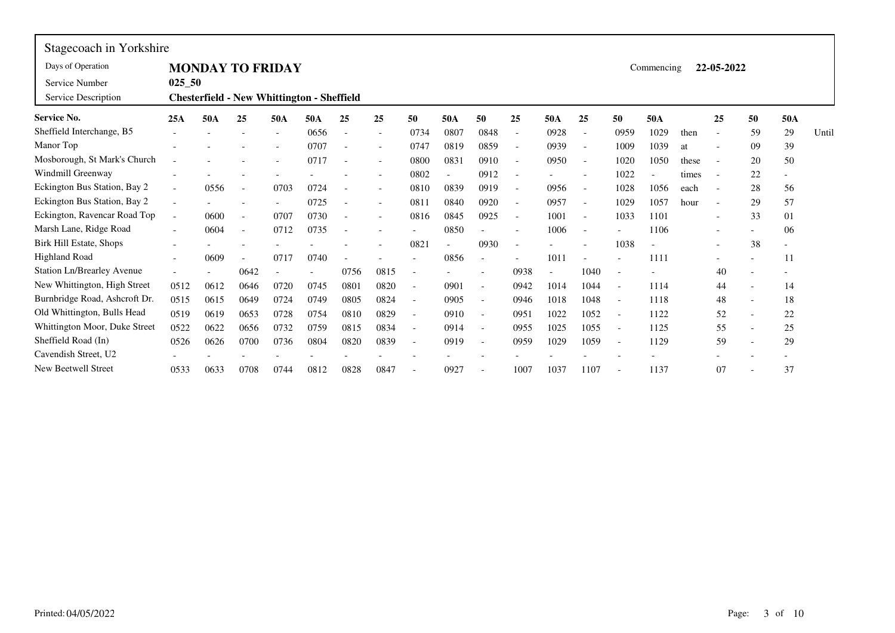| Stagecoach in Yorkshire               |                          |                                                   |                          |                              |      |                          |                          |                          |      |                          |                          |                |                          |                          |                          |       |                          |    |                          |       |
|---------------------------------------|--------------------------|---------------------------------------------------|--------------------------|------------------------------|------|--------------------------|--------------------------|--------------------------|------|--------------------------|--------------------------|----------------|--------------------------|--------------------------|--------------------------|-------|--------------------------|----|--------------------------|-------|
| Days of Operation                     |                          | <b>MONDAY TO FRIDAY</b>                           |                          |                              |      |                          |                          |                          |      |                          |                          |                |                          |                          | Commencing               |       | 22-05-2022               |    |                          |       |
| Service Number<br>Service Description | $025 - 50$               | <b>Chesterfield - New Whittington - Sheffield</b> |                          |                              |      |                          |                          |                          |      |                          |                          |                |                          |                          |                          |       |                          |    |                          |       |
| <b>Service No.</b>                    | 25A                      | 50A                                               | 25                       | 50A                          | 50A  | 25                       | 25                       | 50                       | 50A  | 50                       | 25                       | 50A            | 25                       | 50                       | 50A                      |       | 25                       | 50 | 50A                      |       |
| Sheffield Interchange, B5             |                          |                                                   |                          | $\overline{\phantom{a}}$     | 0656 | $\overline{\phantom{a}}$ | $\overline{\phantom{a}}$ | 0734                     | 0807 | 0848                     | $\overline{\phantom{a}}$ | 0928           | $\overline{\phantom{a}}$ | 0959                     | 1029                     | then  | $\overline{\phantom{a}}$ | 59 | 29                       | Until |
| Manor Top                             |                          |                                                   |                          |                              | 0707 |                          | $\overline{\phantom{0}}$ | 0747                     | 0819 | 0859                     |                          | 0939           |                          | 1009                     | 1039                     | at    |                          | 09 | 39                       |       |
| Mosborough, St Mark's Church          |                          |                                                   |                          |                              | 0717 |                          | $\overline{\phantom{a}}$ | 0800                     | 0831 | 0910                     |                          | 0950           | $\overline{\phantom{a}}$ | 1020                     | 1050                     | these | $\overline{\phantom{a}}$ | 20 | 50                       |       |
| Windmill Greenway                     |                          |                                                   |                          |                              |      |                          |                          | 0802                     |      | 0912                     |                          |                |                          | 1022                     | $\overline{\phantom{a}}$ | times | $\overline{\phantom{a}}$ | 22 | $\overline{\phantom{a}}$ |       |
| Eckington Bus Station, Bay 2          |                          | 0556                                              | $\overline{\phantom{a}}$ | 0703                         | 0724 |                          | $\overline{\phantom{a}}$ | 0810                     | 0839 | 0919                     | $\overline{\phantom{a}}$ | 0956           | $\overline{\phantom{a}}$ | 1028                     | 1056                     | each  | $\overline{\phantom{a}}$ | 28 | 56                       |       |
| Eckington Bus Station, Bay 2          |                          |                                                   |                          | $\qquad \qquad \blacksquare$ | 0725 |                          | $\overline{\phantom{a}}$ | 0811                     | 0840 | 0920                     |                          | 0957           | $\overline{\phantom{0}}$ | 1029                     | 1057                     | hour  | $\overline{\phantom{a}}$ | 29 | 57                       |       |
| Eckington, Ravencar Road Top          | $\overline{\phantom{a}}$ | 0600                                              | $\overline{\phantom{a}}$ | 0707                         | 0730 |                          | $\overline{\phantom{a}}$ | 0816                     | 0845 | 0925                     | $\overline{\phantom{a}}$ | 1001           | $\overline{\phantom{a}}$ | 1033                     | 1101                     |       | $\overline{\phantom{a}}$ | 33 | 01                       |       |
| Marsh Lane, Ridge Road                |                          | 0604                                              | $\overline{\phantom{a}}$ | 0712                         | 0735 |                          |                          |                          | 0850 |                          |                          | 1006           |                          | $\overline{\phantom{a}}$ | 1106                     |       |                          |    | 06                       |       |
| <b>Birk Hill Estate, Shops</b>        |                          |                                                   |                          |                              |      |                          |                          | 0821                     |      | 0930                     |                          |                |                          | 1038                     |                          |       |                          | 38 | $\overline{\phantom{a}}$ |       |
| <b>Highland Road</b>                  |                          | 0609                                              | L,                       | 0717                         | 0740 |                          |                          |                          | 0856 |                          |                          | 101            |                          |                          | 1111                     |       |                          |    | 11                       |       |
| <b>Station Ln/Brearley Avenue</b>     |                          |                                                   | 0642                     |                              |      | 0756                     | 0815                     | $\overline{a}$           |      |                          | 0938                     | $\overline{a}$ | 1040                     | $\overline{\phantom{a}}$ |                          |       | 40                       |    | $\overline{\phantom{0}}$ |       |
| New Whittington, High Street          | 0512                     | 0612                                              | 0646                     | 0720                         | 0745 | 0801                     | 0820                     | $\overline{\phantom{a}}$ | 0901 | $\overline{\phantom{a}}$ | 0942                     | 1014           | 1044                     | $\overline{\phantom{a}}$ | 1114                     |       | 44                       |    | 14                       |       |
| Burnbridge Road, Ashcroft Dr.         | 0515                     | 0615                                              | 0649                     | 0724                         | 0749 | 0805                     | 0824                     | $\overline{\phantom{a}}$ | 0905 | $\overline{\phantom{a}}$ | 0946                     | 1018           | 1048                     | $\overline{\phantom{a}}$ | 1118                     |       | 48                       |    | 18                       |       |
| Old Whittington, Bulls Head           | 0519                     | 0619                                              | 0653                     | 0728                         | 0754 | 0810                     | 0829                     | $\overline{\phantom{a}}$ | 0910 | $\overline{\phantom{a}}$ | 0951                     | 1022           | 1052                     | $\overline{\phantom{a}}$ | 1122                     |       | 52                       |    | 22                       |       |
| Whittington Moor, Duke Street         | 0522                     | 0622                                              | 0656                     | 0732                         | 0759 | 0815                     | 0834                     | $\overline{\phantom{a}}$ | 0914 | $\overline{\phantom{a}}$ | 0955                     | 1025           | 1055                     | $\overline{\phantom{a}}$ | 1125                     |       | 55                       |    | 25                       |       |
| Sheffield Road (In)                   | 0526                     | 0626                                              | 0700                     | 0736                         | 0804 | 0820                     | 0839                     | $\overline{\phantom{a}}$ | 0919 | $\blacksquare$           | 0959                     | 1029           | 1059                     | $\overline{\phantom{a}}$ | 1129                     |       | 59                       |    | 29                       |       |
| Cavendish Street, U2                  |                          |                                                   |                          |                              |      |                          |                          |                          |      |                          |                          |                |                          |                          |                          |       |                          |    | $\overline{\phantom{a}}$ |       |
| New Beetwell Street                   | 0533                     | 0633                                              | 0708                     | 0744                         | 0812 | 0828                     | 0847                     |                          | 0927 |                          | 1007                     | 1037           | 1107                     |                          | 1137                     |       | 07                       |    | 37                       |       |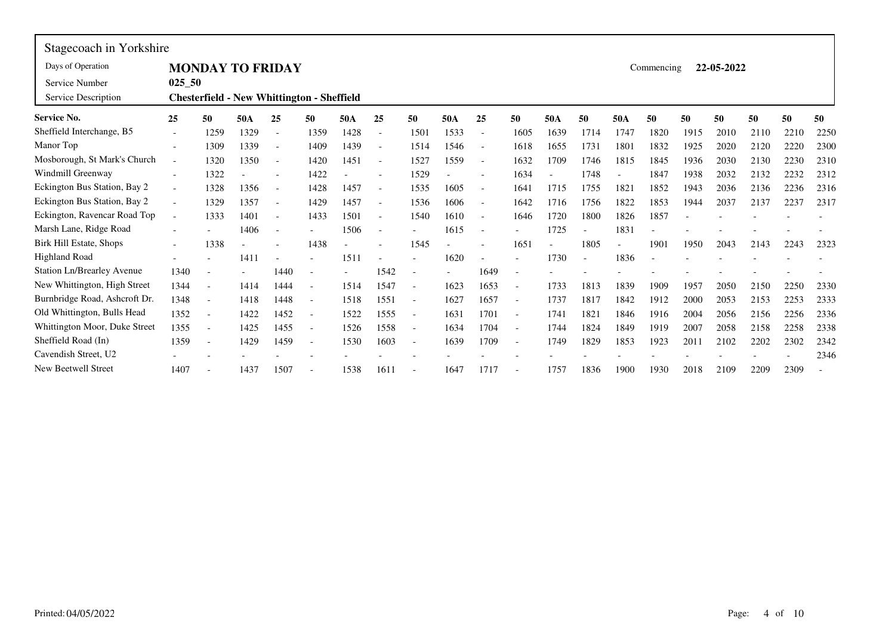| Stagecoach in Yorkshire        |            |                                                   |                          |                          |                          |      |                          |                          |      |                          |                          |      |      |      |            |      |            |      |      |      |
|--------------------------------|------------|---------------------------------------------------|--------------------------|--------------------------|--------------------------|------|--------------------------|--------------------------|------|--------------------------|--------------------------|------|------|------|------------|------|------------|------|------|------|
| Days of Operation              |            | <b>MONDAY TO FRIDAY</b>                           |                          |                          |                          |      |                          |                          |      |                          |                          |      |      |      | Commencing |      | 22-05-2022 |      |      |      |
| Service Number                 | $025 - 50$ |                                                   |                          |                          |                          |      |                          |                          |      |                          |                          |      |      |      |            |      |            |      |      |      |
| Service Description            |            | <b>Chesterfield - New Whittington - Sheffield</b> |                          |                          |                          |      |                          |                          |      |                          |                          |      |      |      |            |      |            |      |      |      |
| <b>Service No.</b>             | 25         | 50                                                | 50A                      | 25                       | 50                       | 50A  | 25                       | 50                       | 50A  | 25                       | 50                       | 50A  | 50   | 50A  | 50         | 50   | 50         | 50   | 50   | 50   |
| Sheffield Interchange, B5      |            | 1259                                              | 1329                     | $\overline{\phantom{a}}$ | 1359                     | 1428 | $\overline{\phantom{a}}$ | 1501                     | 1533 | $\overline{\phantom{a}}$ | 1605                     | 1639 | 1714 | 1747 | 1820       | 1915 | 2010       | 2110 | 2210 | 2250 |
| Manor Top                      |            | 1309                                              | 1339                     | $\overline{\phantom{a}}$ | 1409                     | 1439 | $\overline{\phantom{a}}$ | 1514                     | 1546 | $\overline{\phantom{a}}$ | 1618                     | 1655 | 1731 | 1801 | 1832       | 1925 | 2020       | 2120 | 2220 | 2300 |
| Mosborough, St Mark's Church   | $\sim$     | 1320                                              | 1350                     | $\overline{\phantom{a}}$ | 1420                     | 1451 | $\blacksquare$           | 1527                     | 1559 | $\overline{\phantom{a}}$ | 1632                     | 1709 | 1746 | 1815 | 1845       | 1936 | 2030       | 2130 | 2230 | 2310 |
| Windmill Greenway              |            | 1322                                              |                          |                          | 1422                     |      |                          | 1529                     |      |                          | 1634                     |      | 1748 |      | 1847       | 1938 | 2032       | 2132 | 2232 | 2312 |
| Eckington Bus Station, Bay 2   |            | 1328                                              | 1356                     |                          | 1428                     | 1457 | $\overline{\phantom{a}}$ | 1535                     | 1605 |                          | 1641                     | 1715 | 1755 | 1821 | 1852       | 1943 | 2036       | 2136 | 2236 | 2316 |
| Eckington Bus Station, Bay 2   | $\sim$     | 1329                                              | 1357                     | $\overline{\phantom{a}}$ | 1429                     | 1457 | $\blacksquare$           | 1536                     | 1606 | $\overline{\phantom{a}}$ | 1642                     | 1716 | 1756 | 1822 | 1853       | 1944 | 2037       | 2137 | 2237 | 2317 |
| Eckington, Ravencar Road Top   | $\sim$     | 1333                                              | 1401                     |                          | 1433                     | 1501 | $\overline{\phantom{a}}$ | 1540                     | 1610 |                          | 1646                     | 1720 | 1800 | 1826 | 1857       |      |            |      |      |      |
| Marsh Lane, Ridge Road         |            |                                                   | 1406                     |                          |                          | 1506 | $\overline{\phantom{a}}$ | $\overline{\phantom{0}}$ | 1615 |                          |                          | 1725 |      | 1831 |            |      |            |      |      |      |
| <b>Birk Hill Estate, Shops</b> |            | 1338                                              |                          |                          | 1438                     |      |                          | 1545                     |      |                          | 1651                     |      | 1805 |      | 1901       | 1950 | 2043       | 2143 | 2243 | 2323 |
| <b>Highland Road</b>           |            |                                                   | 1411                     |                          |                          | 1511 |                          |                          | 1620 |                          |                          | 1730 |      | 1836 |            |      |            |      |      |      |
| Station Ln/Brearley Avenue     | 1340       |                                                   | $\overline{\phantom{a}}$ | 1440                     |                          |      | 1542                     | $\overline{a}$           |      | 1649                     |                          |      |      |      |            |      |            |      |      |      |
| New Whittington, High Street   | 1344       | $\overline{\phantom{a}}$                          | 1414                     | 1444                     | $\overline{\phantom{a}}$ | 1514 | 1547                     | $\overline{\phantom{a}}$ | 1623 | 1653                     |                          | 1733 | 1813 | 1839 | 1909       | 1957 | 2050       | 2150 | 2250 | 2330 |
| Burnbridge Road, Ashcroft Dr.  | 1348       | $\overline{\phantom{a}}$                          | 1418                     | 1448                     |                          | 1518 | 1551                     | $\overline{\phantom{a}}$ | 1627 | 1657                     |                          | 1737 | 1817 | 1842 | 1912       | 2000 | 2053       | 2153 | 2253 | 2333 |
| Old Whittington, Bulls Head    | 1352       | $\overline{\phantom{a}}$                          | 1422                     | 1452                     |                          | 1522 | 1555                     | $\overline{\phantom{a}}$ | 1631 | 1701                     |                          | 1741 | 1821 | 1846 | 1916       | 2004 | 2056       | 2156 | 2256 | 2336 |
| Whittington Moor, Duke Street  | 1355       | $\overline{\phantom{a}}$                          | 1425                     | 1455                     |                          | 1526 | 1558                     | $\overline{\phantom{a}}$ | 1634 | 1704                     |                          | 1744 | 1824 | 1849 | 1919       | 2007 | 2058       | 2158 | 2258 | 2338 |
| Sheffield Road (In)            | 1359       | $\overline{\phantom{a}}$                          | 1429                     | 1459                     | $\overline{\phantom{a}}$ | 1530 | 1603                     | $\overline{\phantom{a}}$ | 1639 | 1709                     | $\overline{\phantom{a}}$ | 1749 | 1829 | 1853 | 1923       | 2011 | 2102       | 2202 | 2302 | 2342 |
| Cavendish Street, U2           |            |                                                   |                          |                          |                          |      |                          |                          |      |                          |                          |      |      |      |            |      |            |      |      | 2346 |
| New Beetwell Street            | 1407       |                                                   | 1437                     | 1507                     |                          | 1538 | 1611                     |                          | 1647 | 1717                     |                          | 1757 | 1836 | 1900 | 1930       | 2018 | 2109       | 2209 | 2309 |      |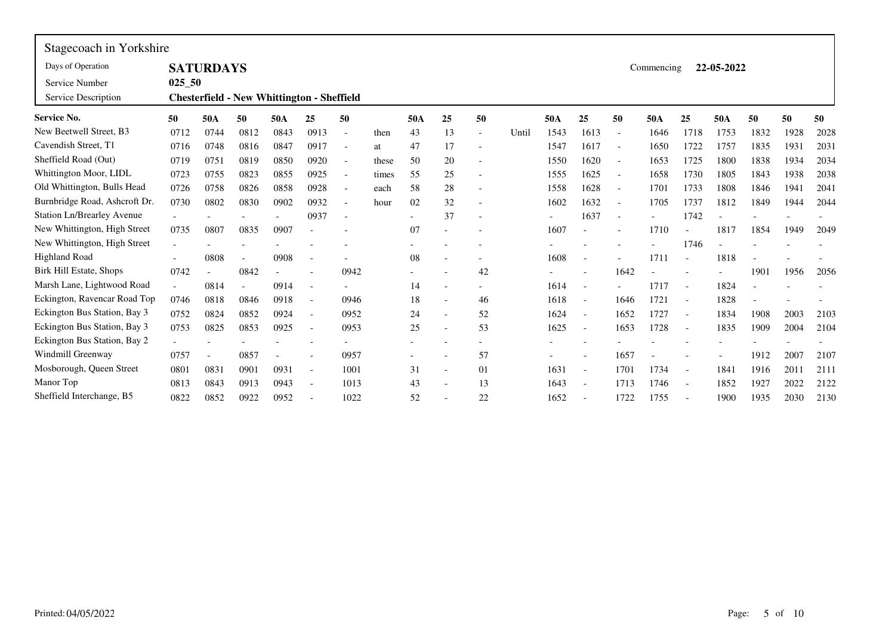| Stagecoach in Yorkshire           |        |                          |                                                   |      |                          |                          |       |     |                          |                          |       |                          |                          |                          |            |                          |            |      |      |      |
|-----------------------------------|--------|--------------------------|---------------------------------------------------|------|--------------------------|--------------------------|-------|-----|--------------------------|--------------------------|-------|--------------------------|--------------------------|--------------------------|------------|--------------------------|------------|------|------|------|
| Days of Operation                 |        | <b>SATURDAYS</b>         |                                                   |      |                          |                          |       |     |                          |                          |       |                          |                          |                          | Commencing |                          | 22-05-2022 |      |      |      |
| Service Number                    | 025 50 |                          |                                                   |      |                          |                          |       |     |                          |                          |       |                          |                          |                          |            |                          |            |      |      |      |
| Service Description               |        |                          | <b>Chesterfield - New Whittington - Sheffield</b> |      |                          |                          |       |     |                          |                          |       |                          |                          |                          |            |                          |            |      |      |      |
| <b>Service No.</b>                | 50     | 50A                      | 50                                                | 50A  | 25                       | 50                       |       | 50A | 25                       | 50                       |       | 50A                      | 25                       | 50                       | 50A        | 25                       | 50A        | 50   | 50   | 50   |
| New Beetwell Street, B3           | 0712   | 0744                     | 0812                                              | 0843 | 0913                     |                          | then  | 43  | 13                       | $\blacksquare$           | Until | 1543                     | 1613                     | $\overline{\phantom{a}}$ | 1646       | 1718                     | 1753       | 1832 | 1928 | 2028 |
| Cavendish Street, T1              | 0716   | 0748                     | 0816                                              | 0847 | 0917                     |                          | at    | 47  | 17                       | $\overline{\phantom{a}}$ |       | 1547                     | 1617                     | $\overline{\phantom{a}}$ | 1650       | 1722                     | 1757       | 1835 | 193  | 2031 |
| Sheffield Road (Out)              | 0719   | 0751                     | 0819                                              | 0850 | 0920                     | $\overline{\phantom{a}}$ | these | 50  | 20                       | $\overline{\phantom{a}}$ |       | 1550                     | 1620                     | $\overline{\phantom{a}}$ | 1653       | 1725                     | 1800       | 1838 | 1934 | 2034 |
| Whittington Moor, LIDL            | 0723   | 0755                     | 0823                                              | 0855 | 0925                     |                          | times | 55  | 25                       | $\overline{\phantom{a}}$ |       | 1555                     | 1625                     | $\overline{\phantom{a}}$ | 1658       | 1730                     | 1805       | 1843 | 1938 | 2038 |
| Old Whittington, Bulls Head       | 0726   | 0758                     | 0826                                              | 0858 | 0928                     |                          | each  | 58  | 28                       | $\overline{\phantom{a}}$ |       | 1558                     | 1628                     | $\overline{\phantom{a}}$ | 1701       | 1733                     | 1808       | 1846 | 1941 | 2041 |
| Burnbridge Road, Ashcroft Dr.     | 0730   | 0802                     | 0830                                              | 0902 | 0932                     |                          | hour  | 02  | 32                       | $\overline{\phantom{a}}$ |       | 1602                     | 1632                     | $\overline{\phantom{a}}$ | 1705       | 1737                     | 1812       | 1849 | 1944 | 2044 |
| <b>Station Ln/Brearley Avenue</b> |        |                          |                                                   |      | 0937                     |                          |       |     | 37                       | $\overline{\phantom{a}}$ |       | $\overline{\phantom{a}}$ | 1637                     | $\overline{\phantom{a}}$ |            | 1742                     |            |      |      |      |
| New Whittington, High Street      | 0735   | 0807                     | 0835                                              | 0907 |                          |                          |       | 07  |                          |                          |       | 1607                     |                          |                          | 1710       |                          | 1817       | 1854 | 1949 | 2049 |
| New Whittington, High Street      |        |                          |                                                   |      |                          |                          |       |     |                          |                          |       |                          |                          |                          |            | 1746                     |            |      |      |      |
| <b>Highland Road</b>              |        | 0808                     | $\overline{a}$                                    | 0908 | $\overline{\phantom{a}}$ |                          |       | 08  |                          |                          |       | 1608                     | $\overline{\phantom{a}}$ | $\overline{\phantom{a}}$ | 1711       |                          | 1818       |      |      |      |
| <b>Birk Hill Estate, Shops</b>    | 0742   |                          | 0842                                              |      |                          | 0942                     |       |     |                          | 42                       |       |                          |                          | 1642                     |            |                          |            | 1901 | 1956 | 2056 |
| Marsh Lane, Lightwood Road        |        | 0814                     | $\overline{a}$                                    | 0914 |                          |                          |       | 14  | $\overline{\phantom{a}}$ | $\overline{\phantom{a}}$ |       | 1614                     |                          | $\overline{\phantom{a}}$ | 1717       | $\overline{\phantom{a}}$ | 1824       |      |      |      |
| Eckington, Ravencar Road Top      | 0746   | 0818                     | 0846                                              | 0918 |                          | 0946                     |       | 18  | $\overline{\phantom{a}}$ | 46                       |       | 1618                     | $\blacksquare$           | 1646                     | 1721       |                          | 1828       |      |      |      |
| Eckington Bus Station, Bay 3      | 0752   | 0824                     | 0852                                              | 0924 | $\blacksquare$           | 0952                     |       | 24  | $\overline{\phantom{a}}$ | 52                       |       | 1624                     | $\blacksquare$           | 1652                     | 1727       |                          | 1834       | 1908 | 2003 | 2103 |
| Eckington Bus Station, Bay 3      | 0753   | 0825                     | 0853                                              | 0925 | $\overline{\phantom{a}}$ | 0953                     |       | 25  | $\overline{\phantom{0}}$ | 53                       |       | 1625                     | $\overline{\phantom{a}}$ | 1653                     | 1728       | $\overline{\phantom{a}}$ | 1835       | 1909 | 2004 | 2104 |
| Eckington Bus Station, Bay 2      |        |                          |                                                   |      |                          |                          |       |     |                          |                          |       |                          |                          |                          |            |                          |            |      |      |      |
| Windmill Greenway                 | 0757   | $\overline{\phantom{a}}$ | 0857                                              |      |                          | 0957                     |       |     |                          | 57                       |       |                          |                          | 1657                     |            |                          |            | 1912 | 2007 | 2107 |
| Mosborough, Queen Street          | 0801   | 0831                     | 0901                                              | 0931 |                          | 1001                     |       | 31  |                          | 01                       |       | 1631                     | $\blacksquare$           | 1701                     | 1734       |                          | 1841       | 1916 | 2011 | 2111 |
| Manor Top                         | 0813   | 0843                     | 0913                                              | 0943 |                          | 1013                     |       | 43  | $\overline{\phantom{a}}$ | 13                       |       | 1643                     |                          | 1713                     | 1746       |                          | 1852       | 1927 | 2022 | 2122 |
| Sheffield Interchange, B5         | 0822   | 0852                     | 0922                                              | 0952 |                          | 1022                     |       | 52  |                          | 22                       |       | 1652                     |                          | 1722                     | 1755       |                          | 1900       | 1935 | 2030 | 2130 |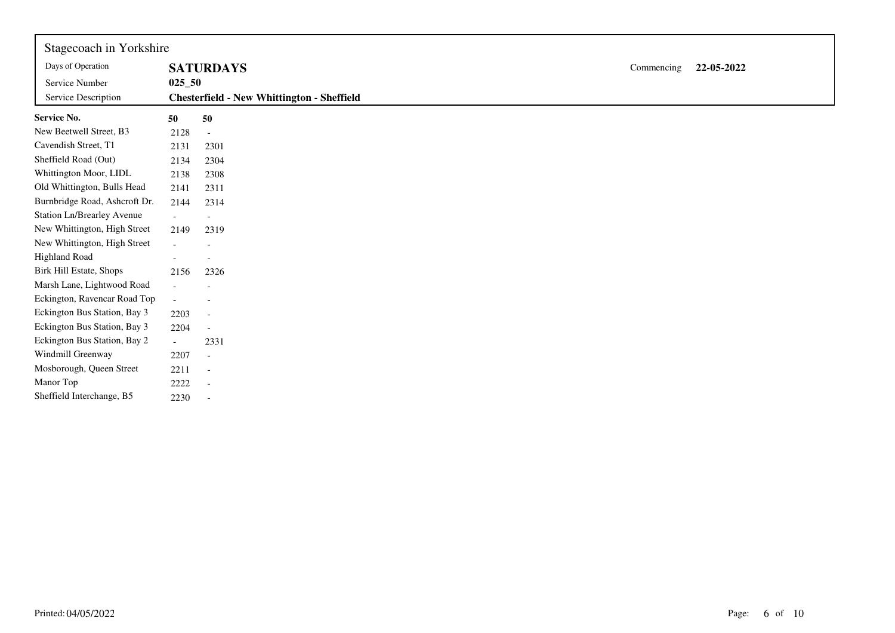| Stagecoach in Yorkshire               |                          |                                                   |            |            |
|---------------------------------------|--------------------------|---------------------------------------------------|------------|------------|
| Days of Operation                     |                          | <b>SATURDAYS</b>                                  | Commencing | 22-05-2022 |
| Service Number<br>Service Description | $025\_50$                | <b>Chesterfield - New Whittington - Sheffield</b> |            |            |
| <b>Service No.</b>                    | 50                       | 50                                                |            |            |
| New Beetwell Street, B3               | 2128                     | $\overline{\phantom{a}}$                          |            |            |
| Cavendish Street, T1                  | 2131                     | 2301                                              |            |            |
| Sheffield Road (Out)                  | 2134                     | 2304                                              |            |            |
| Whittington Moor, LIDL                | 2138                     | 2308                                              |            |            |
| Old Whittington, Bulls Head           | 2141                     | 2311                                              |            |            |
| Burnbridge Road, Ashcroft Dr.         | 2144                     | 2314                                              |            |            |
| <b>Station Ln/Brearley Avenue</b>     |                          | $\blacksquare$                                    |            |            |
| New Whittington, High Street          | 2149                     | 2319                                              |            |            |
| New Whittington, High Street          |                          |                                                   |            |            |
| <b>Highland Road</b>                  |                          |                                                   |            |            |
| Birk Hill Estate, Shops               | 2156                     | 2326                                              |            |            |
| Marsh Lane, Lightwood Road            |                          |                                                   |            |            |
| Eckington, Ravencar Road Top          | $\overline{\phantom{a}}$ | $\overline{\phantom{a}}$                          |            |            |
| Eckington Bus Station, Bay 3          | 2203                     | $\overline{\phantom{a}}$                          |            |            |
| Eckington Bus Station, Bay 3          | 2204                     | $\blacksquare$                                    |            |            |
| Eckington Bus Station, Bay 2          | $\mathcal{L}^{\pm}$      | 2331                                              |            |            |
| Windmill Greenway                     | 2207                     | $\blacksquare$                                    |            |            |
| Mosborough, Queen Street              | 2211                     | $\overline{\phantom{a}}$                          |            |            |
| Manor Top                             | 2222                     | $\overline{\phantom{a}}$                          |            |            |
| Sheffield Interchange, B5             | 2230                     | $\overline{\phantom{a}}$                          |            |            |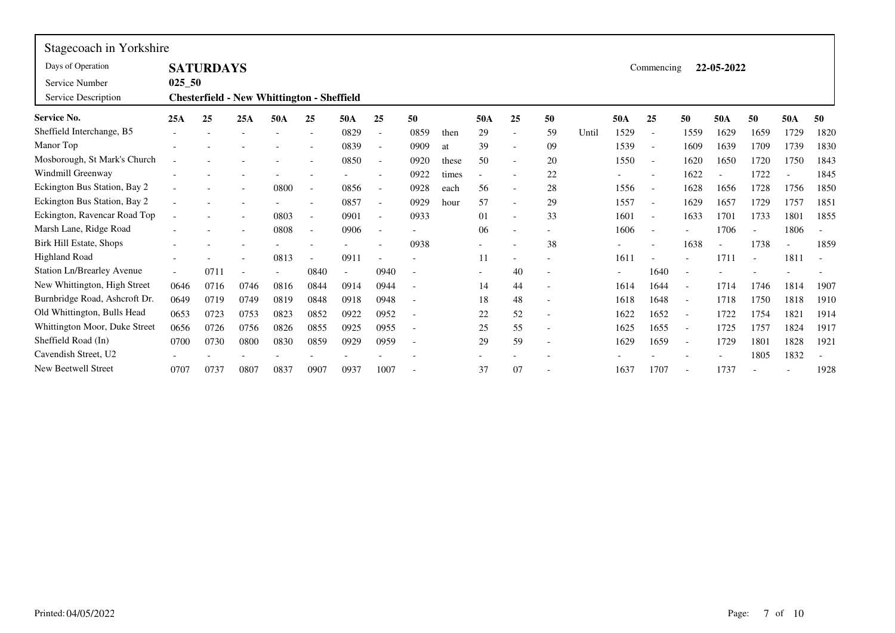| Stagecoach in Yorkshire           |            |                                                   |      |      |                          |                          |                          |      |       |                          |                          |                          |       |                          |                          |                          |            |                |      |           |
|-----------------------------------|------------|---------------------------------------------------|------|------|--------------------------|--------------------------|--------------------------|------|-------|--------------------------|--------------------------|--------------------------|-------|--------------------------|--------------------------|--------------------------|------------|----------------|------|-----------|
| Days of Operation                 |            | <b>SATURDAYS</b>                                  |      |      |                          |                          |                          |      |       |                          |                          |                          |       |                          | Commencing               |                          | 22-05-2022 |                |      |           |
| Service Number                    | $025 - 50$ |                                                   |      |      |                          |                          |                          |      |       |                          |                          |                          |       |                          |                          |                          |            |                |      |           |
| Service Description               |            | <b>Chesterfield - New Whittington - Sheffield</b> |      |      |                          |                          |                          |      |       |                          |                          |                          |       |                          |                          |                          |            |                |      |           |
| <b>Service No.</b>                | 25A        | 25                                                | 25A  | 50A  | 25                       | 50A                      | 25                       | 50   |       | 50A                      | 25                       | 50                       |       | 50A                      | 25                       | 50                       | 50A        | 50             | 50A  | 50        |
| Sheffield Interchange, B5         |            |                                                   |      |      |                          | 0829                     | $\overline{\phantom{a}}$ | 0859 | then  | 29                       | $\overline{\phantom{a}}$ | 59                       | Until | 1529                     | $\overline{\phantom{a}}$ | 1559                     | 1629       | 1659           | 1729 | 1820      |
| Manor Top                         |            |                                                   |      |      |                          | 0839                     | $\overline{\phantom{a}}$ | 0909 | at    | 39                       | $\overline{\phantom{a}}$ | 09                       |       | 1539                     | $\overline{\phantom{a}}$ | 1609                     | 1639       | 1709           | 1739 | 1830      |
| Mosborough, St Mark's Church      |            |                                                   |      |      |                          | 0850                     | $\overline{\phantom{a}}$ | 0920 | these | 50                       | $\overline{\phantom{a}}$ | 20                       |       | 1550                     | $\overline{\phantom{a}}$ | 1620                     | 1650       | 1720           | 1750 | 1843      |
| Windmill Greenway                 |            |                                                   |      |      |                          |                          | $\overline{\phantom{a}}$ | 0922 | times |                          |                          | 22                       |       |                          |                          | 1622                     |            | 1722           |      | 1845      |
| Eckington Bus Station, Bay 2      |            |                                                   |      | 0800 | $\overline{\phantom{a}}$ | 0856                     | $\overline{\phantom{a}}$ | 0928 | each  | 56                       | $\overline{\phantom{a}}$ | 28                       |       | 1556                     | $\overline{\phantom{a}}$ | 1628                     | 1656       | 1728           | 1756 | 1850      |
| Eckington Bus Station, Bay 2      |            |                                                   |      |      |                          | 0857                     | $\overline{\phantom{a}}$ | 0929 | hour  | 57                       | $\overline{\phantom{a}}$ | 29                       |       | 1557                     | $\overline{\phantom{a}}$ | 1629                     | 1657       | 1729           | 1757 | 1851      |
| Eckington, Ravencar Road Top      |            |                                                   |      | 0803 | $\overline{\phantom{a}}$ | 0901                     | $\overline{\phantom{a}}$ | 0933 |       | 01                       | $\overline{\phantom{a}}$ | 33                       |       | 1601                     | $\overline{\phantom{a}}$ | 1633                     | 1701       | 1733           | 1801 | 1855      |
| Marsh Lane, Ridge Road            |            |                                                   |      | 0808 | $\overline{\phantom{a}}$ | 0906                     | $\sim$                   |      |       | 06                       | $\overline{\phantom{a}}$ |                          |       | 1606                     | $\overline{\phantom{a}}$ |                          | 1706       | $\overline{a}$ | 1806 | $\bar{a}$ |
| Birk Hill Estate, Shops           |            |                                                   |      |      |                          |                          |                          | 0938 |       | $\overline{\phantom{a}}$ |                          | 38                       |       |                          |                          | 1638                     |            | 1738           |      | 1859      |
| <b>Highland Road</b>              |            |                                                   |      | 0813 |                          | 0911                     | $\overline{\phantom{a}}$ |      |       | 11                       |                          |                          |       | 1611                     |                          |                          | 1711       |                | 1811 |           |
| <b>Station Ln/Brearley Avenue</b> |            | 0711                                              |      |      | 0840                     | $\overline{\phantom{0}}$ | 0940                     |      |       | $\overline{\phantom{0}}$ | 40                       |                          |       | $\overline{\phantom{0}}$ | 1640                     |                          |            |                |      |           |
| New Whittington, High Street      | 0646       | 0716                                              | 0746 | 0816 | 0844                     | 0914                     | 0944                     |      |       | 14                       | 44                       | $\overline{\phantom{0}}$ |       | 1614                     | 1644                     | $\overline{\phantom{0}}$ | 1714       | 1746           | 1814 | 1907      |
| Burnbridge Road, Ashcroft Dr.     | 0649       | 0719                                              | 0749 | 0819 | 0848                     | 0918                     | 0948                     |      |       | 18                       | 48                       |                          |       | 1618                     | 1648                     |                          | 1718       | 1750           | 1818 | 1910      |
| Old Whittington, Bulls Head       | 0653       | 0723                                              | 0753 | 0823 | 0852                     | 0922                     | 0952                     |      |       | 22                       | 52                       |                          |       | 1622                     | 1652                     | $\overline{\phantom{a}}$ | 1722       | 1754           | 1821 | 1914      |
| Whittington Moor, Duke Street     | 0656       | 0726                                              | 0756 | 0826 | 0855                     | 0925                     | 0955                     |      |       | 25                       | 55                       |                          |       | 1625                     | 1655                     |                          | 1725       | 1757           | 1824 | 1917      |
| Sheffield Road (In)               | 0700       | 0730                                              | 0800 | 0830 | 0859                     | 0929                     | 0959                     |      |       | 29                       | 59                       |                          |       | 1629                     | 1659                     | $\overline{\phantom{a}}$ | 1729       | 1801           | 1828 | 1921      |
| Cavendish Street, U2              |            |                                                   |      |      |                          |                          |                          |      |       |                          |                          |                          |       |                          |                          |                          |            | 1805           | 1832 |           |
| New Beetwell Street               | 0707       | 0737                                              | 0807 | 0837 | 0907                     | 0937                     | 1007                     |      |       | 37                       | 07                       |                          |       | 1637                     | 1707                     |                          | 1737       |                |      | 1928      |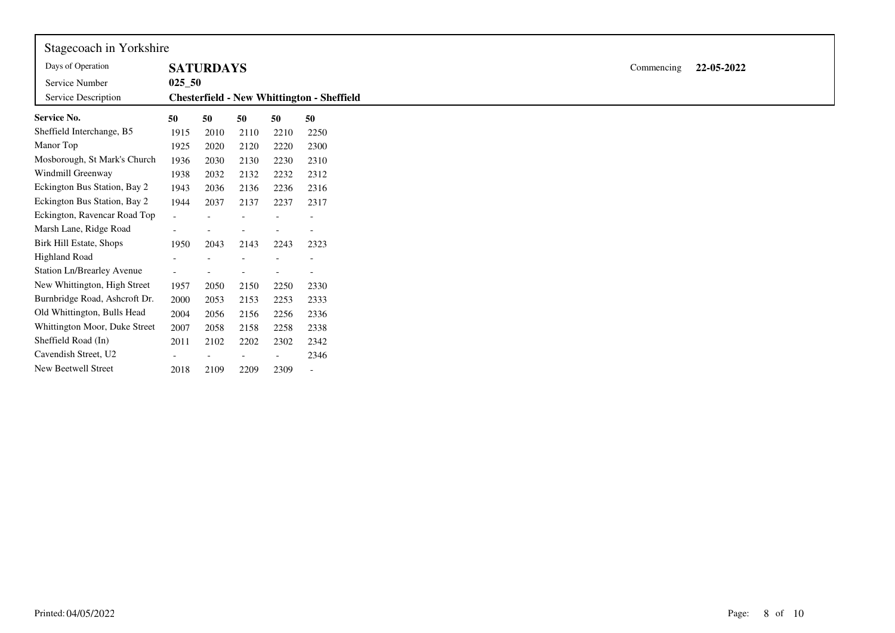| Stagecoach in Yorkshire               |            |                  |      |      |                                                   |
|---------------------------------------|------------|------------------|------|------|---------------------------------------------------|
| Days of Operation                     |            | <b>SATURDAYS</b> |      |      |                                                   |
| Service Number<br>Service Description | $025 - 50$ |                  |      |      | <b>Chesterfield - New Whittington - Sheffield</b> |
| <b>Service No.</b>                    | 50         | 50               | 50   | 50   | 50                                                |
| Sheffield Interchange, B5             | 1915       | 2010             | 2110 | 2210 | 2250                                              |
| Manor Top                             | 1925       | 2020             | 2120 | 2220 | 2300                                              |
| Mosborough, St Mark's Church          | 1936       | 2030             | 2130 | 2230 | 2310                                              |
| Windmill Greenway                     | 1938       | 2032             | 2132 | 2232 | 2312                                              |
| Eckington Bus Station, Bay 2          | 1943       | 2036             | 2136 | 2236 | 2316                                              |
| Eckington Bus Station, Bay 2          | 1944       | 2037             | 2137 | 2237 | 2317                                              |
| Eckington, Ravencar Road Top          |            |                  |      |      |                                                   |
| Marsh Lane, Ridge Road                |            |                  |      |      |                                                   |
| Birk Hill Estate, Shops               | 1950       | 2043             | 2143 | 2243 | 2323                                              |
| <b>Highland Road</b>                  |            |                  |      |      |                                                   |
| <b>Station Ln/Brearley Avenue</b>     |            |                  |      |      |                                                   |
| New Whittington, High Street          | 1957       | 2050             | 2150 | 2250 | 2330                                              |
| Burnbridge Road, Ashcroft Dr.         | 2000       | 2053             | 2153 | 2253 | 2333                                              |
| Old Whittington, Bulls Head           | 2004       | 2056             | 2156 | 2256 | 2336                                              |
| Whittington Moor, Duke Street         | 2007       | 2058             | 2158 | 2258 | 2338                                              |
| Sheffield Road (In)                   | 2011       | 2102             | 2202 | 2302 | 2342                                              |
| Cavendish Street, U2                  |            |                  |      |      | 2346                                              |
| <b>New Beetwell Street</b>            | 2018       | 2109             | 2209 | 2309 | $\overline{\phantom{a}}$                          |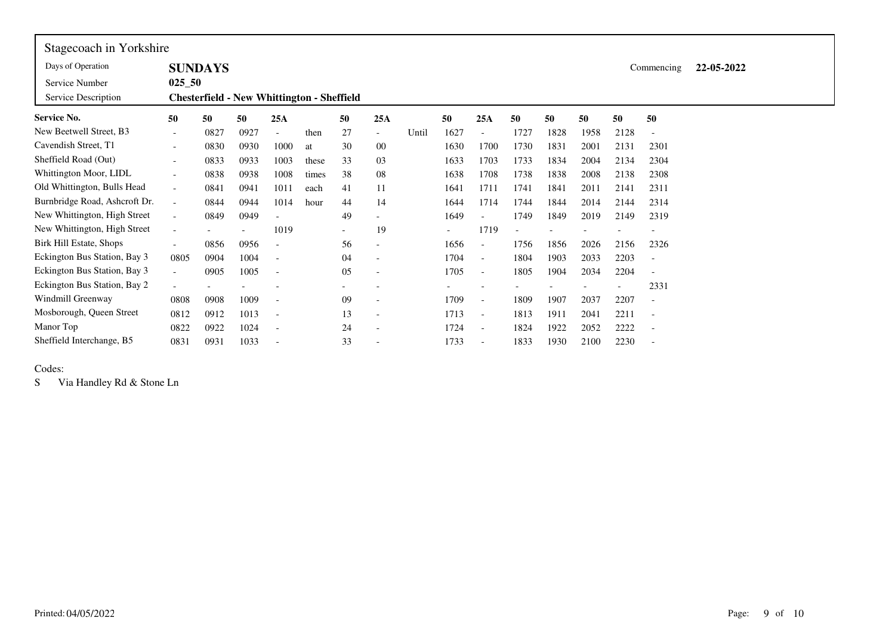| Stagecoach in Yorkshire<br>Days of Operation<br><b>SUNDAYS</b><br>Commencing |                          |      |      |                                                   |       |                          |        |       |                          |                          |      |      |      |      |                          |            |  |
|------------------------------------------------------------------------------|--------------------------|------|------|---------------------------------------------------|-------|--------------------------|--------|-------|--------------------------|--------------------------|------|------|------|------|--------------------------|------------|--|
|                                                                              |                          |      |      |                                                   |       |                          |        |       |                          |                          |      |      |      |      |                          | 22-05-2022 |  |
| Service Number                                                               | $025 - 50$               |      |      |                                                   |       |                          |        |       |                          |                          |      |      |      |      |                          |            |  |
| Service Description                                                          |                          |      |      | <b>Chesterfield - New Whittington - Sheffield</b> |       |                          |        |       |                          |                          |      |      |      |      |                          |            |  |
| <b>Service No.</b>                                                           | 50                       | 50   | 50   | 25A                                               |       | 50                       | 25A    |       | 50                       | 25A                      | 50   | 50   | 50   | 50   | 50                       |            |  |
| New Beetwell Street, B3                                                      | $\overline{\phantom{a}}$ | 0827 | 0927 | $\overline{\phantom{a}}$                          | then  | 27                       |        | Until | 1627                     |                          | 1727 | 1828 | 1958 | 2128 | $\overline{\phantom{a}}$ |            |  |
| Cavendish Street, T1                                                         | $\blacksquare$           | 0830 | 0930 | 1000                                              | at    | 30                       | $00\,$ |       | 1630                     | 1700                     | 1730 | 1831 | 2001 | 2131 | 2301                     |            |  |
| Sheffield Road (Out)                                                         | $\blacksquare$           | 0833 | 0933 | 1003                                              | these | 33                       | 03     |       | 1633                     | 1703                     | 1733 | 1834 | 2004 | 2134 | 2304                     |            |  |
| Whittington Moor, LIDL                                                       | $\blacksquare$           | 0838 | 0938 | 1008                                              | times | 38                       | 08     |       | 1638                     | 1708                     | 1738 | 1838 | 2008 | 2138 | 2308                     |            |  |
| Old Whittington, Bulls Head                                                  | $\overline{\phantom{a}}$ | 0841 | 0941 | 1011                                              | each  | 41                       | 11     |       | 1641                     | 1711                     | 1741 | 1841 | 2011 | 2141 | 2311                     |            |  |
| Burnbridge Road, Ashcroft Dr.                                                | $\overline{\phantom{a}}$ | 0844 | 0944 | 1014                                              | hour  | 44                       | 14     |       | 1644                     | 1714                     | 1744 | 1844 | 2014 | 2144 | 2314                     |            |  |
| New Whittington, High Street                                                 | $\blacksquare$           | 0849 | 0949 |                                                   |       | 49                       |        |       | 1649                     |                          | 1749 | 1849 | 2019 | 2149 | 2319                     |            |  |
| New Whittington, High Street                                                 | $\blacksquare$           |      |      | 1019                                              |       | $\overline{\phantom{a}}$ | 19     |       | $\overline{\phantom{a}}$ | 1719                     |      |      |      |      |                          |            |  |
| Birk Hill Estate, Shops                                                      | $\overline{\phantom{0}}$ | 0856 | 0956 |                                                   |       | 56                       |        |       | 1656                     |                          | 1756 | 1856 | 2026 | 2156 | 2326                     |            |  |
| Eckington Bus Station, Bay 3                                                 | 0805                     | 0904 | 1004 | $\overline{\phantom{a}}$                          |       | 04                       |        |       | 1704                     |                          | 1804 | 1903 | 2033 | 2203 |                          |            |  |
| Eckington Bus Station, Bay 3                                                 | $\blacksquare$           | 0905 | 1005 |                                                   |       | 05                       |        |       | 1705                     |                          | 1805 | 1904 | 2034 | 2204 |                          |            |  |
| Eckington Bus Station, Bay 2                                                 | $\blacksquare$           |      |      |                                                   |       |                          |        |       |                          |                          |      |      |      |      | 2331                     |            |  |
| Windmill Greenway                                                            | 0808                     | 0908 | 1009 | $\overline{\phantom{a}}$                          |       | 09                       |        |       | 1709                     |                          | 1809 | 1907 | 2037 | 2207 |                          |            |  |
| Mosborough, Queen Street                                                     | 0812                     | 0912 | 1013 | $\overline{\phantom{a}}$                          |       | 13                       |        |       | 1713                     | $\overline{\phantom{a}}$ | 1813 | 1911 | 2041 | 2211 |                          |            |  |
| Manor Top                                                                    | 0822                     | 0922 | 1024 | $\overline{\phantom{a}}$                          |       | 24                       |        |       | 1724                     |                          | 1824 | 1922 | 2052 | 2222 |                          |            |  |
| Sheffield Interchange, B5                                                    | 0831                     | 0931 | 1033 |                                                   |       | 33                       |        |       | 1733                     |                          | 1833 | 1930 | 2100 | 2230 |                          |            |  |

## Codes:

S Via Handley Rd & Stone Ln